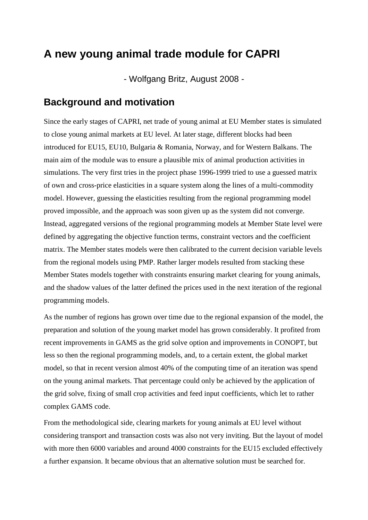# **A new young animal trade module for CAPRI**

- Wolfgang Britz, August 2008 -

# **Background and motivation**

Since the early stages of CAPRI, net trade of young animal at EU Member states is simulated to close young animal markets at EU level. At later stage, different blocks had been introduced for EU15, EU10, Bulgaria & Romania, Norway, and for Western Balkans. The main aim of the module was to ensure a plausible mix of animal production activities in simulations. The very first tries in the project phase 1996-1999 tried to use a guessed matrix of own and cross-price elasticities in a square system along the lines of a multi-commodity model. However, guessing the elasticities resulting from the regional programming model proved impossible, and the approach was soon given up as the system did not converge. Instead, aggregated versions of the regional programming models at Member State level were defined by aggregating the objective function terms, constraint vectors and the coefficient matrix. The Member states models were then calibrated to the current decision variable levels from the regional models using PMP. Rather larger models resulted from stacking these Member States models together with constraints ensuring market clearing for young animals, and the shadow values of the latter defined the prices used in the next iteration of the regional programming models.

As the number of regions has grown over time due to the regional expansion of the model, the preparation and solution of the young market model has grown considerably. It profited from recent improvements in GAMS as the grid solve option and improvements in CONOPT, but less so then the regional programming models, and, to a certain extent, the global market model, so that in recent version almost 40% of the computing time of an iteration was spend on the young animal markets. That percentage could only be achieved by the application of the grid solve, fixing of small crop activities and feed input coefficients, which let to rather complex GAMS code.

From the methodological side, clearing markets for young animals at EU level without considering transport and transaction costs was also not very inviting. But the layout of model with more then 6000 variables and around 4000 constraints for the EU15 excluded effectively a further expansion. It became obvious that an alternative solution must be searched for.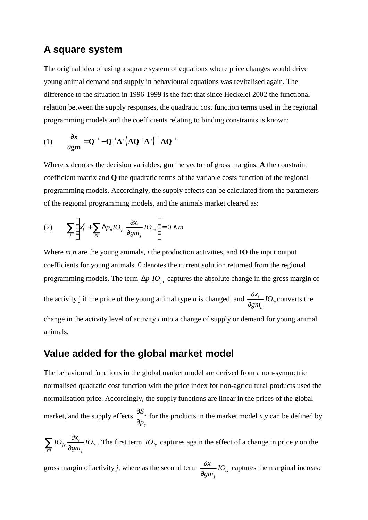### **A square system**

The original idea of using a square system of equations where price changes would drive young animal demand and supply in behavioural equations was revitalised again. The difference to the situation in 1996-1999 is the fact that since Heckelei 2002 the functional relation between the supply responses, the quadratic cost function terms used in the regional programming models and the coefficients relating to binding constraints is known:

$$
(1) \qquad \frac{\partial \mathbf{x}}{\partial \mathbf{g} \mathbf{m}} = \mathbf{Q}^{-1} - \mathbf{Q}^{-1} \mathbf{A} \left( \mathbf{A} \mathbf{Q}^{-1} \mathbf{A} \right)^{-1} \mathbf{A} \mathbf{Q}^{-1}
$$

Where **x** denotes the decision variables, **gm** the vector of gross margins, **A** the constraint coefficient matrix and **Q** the quadratic terms of the variable costs function of the regional programming models. Accordingly, the supply effects can be calculated from the parameters of the regional programming models, and the animals market cleared as:

$$
(2) \qquad \sum_{i}\left(x_{i}^{0}+\sum_{nj}\Delta p_{n}IO_{jn}\frac{\partial x_{i}}{\partial gm_{j}}IO_{im}\right)=0 \wedge m
$$

Where *m,n* are the young animals, *i* the production activities, and **IO** the input output coefficients for young animals. 0 denotes the current solution returned from the regional programming models. The term  $\Delta p_n I O_n$  captures the absolute change in the gross margin of

the activity j if the price of the young animal type *n* is changed, and  $\frac{\omega_i}{2}$  *IO*<sub>*in*</sub> *n x IO gm* ∂ ∂ converts the

change in the activity level of activity *i* into a change of supply or demand for young animal animals.

#### **Value added for the global market model**

The behavioural functions in the global market model are derived from a non-symmetric normalised quadratic cost function with the price index for non-agricultural products used the normalisation price. Accordingly, the supply functions are linear in the prices of the global market, and the supply effects  $\frac{36}{2}$ *y S p* ∂ ∂ for the products in the market model *x,y* can be defined by

$$
\sum_{yij} IO_{jy} \frac{\partial x_i}{\partial gm_j} IO_{ix} \text{ . The first term } IO_{jy} \text{ captures again the effect of a change in price } y \text{ on the}
$$

gross margin of activity *j*, where as the second term  $\frac{\partial x_i}{\partial x_i}$  *IO*<sub>*ix*</sub> *j x IO gm* ∂ ∂ captures the marginal increase